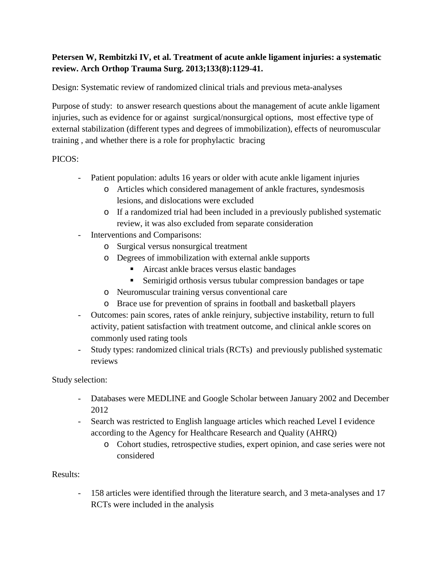## **Petersen W, Rembitzki IV, et al. Treatment of acute ankle ligament injuries: a systematic review. Arch Orthop Trauma Surg. 2013;133(8):1129-41.**

Design: Systematic review of randomized clinical trials and previous meta-analyses

Purpose of study: to answer research questions about the management of acute ankle ligament injuries, such as evidence for or against surgical/nonsurgical options, most effective type of external stabilization (different types and degrees of immobilization), effects of neuromuscular training , and whether there is a role for prophylactic bracing

## PICOS:

- Patient population: adults 16 years or older with acute ankle ligament injuries
	- o Articles which considered management of ankle fractures, syndesmosis lesions, and dislocations were excluded
	- o If a randomized trial had been included in a previously published systematic review, it was also excluded from separate consideration
- Interventions and Comparisons:
	- o Surgical versus nonsurgical treatment
	- o Degrees of immobilization with external ankle supports
		- Aircast ankle braces versus elastic bandages
		- Semirigid orthosis versus tubular compression bandages or tape
	- o Neuromuscular training versus conventional care
	- o Brace use for prevention of sprains in football and basketball players
- Outcomes: pain scores, rates of ankle reinjury, subjective instability, return to full activity, patient satisfaction with treatment outcome, and clinical ankle scores on commonly used rating tools
- Study types: randomized clinical trials (RCTs) and previously published systematic reviews

Study selection:

- Databases were MEDLINE and Google Scholar between January 2002 and December 2012
- Search was restricted to English language articles which reached Level I evidence according to the Agency for Healthcare Research and Quality (AHRQ)
	- o Cohort studies, retrospective studies, expert opinion, and case series were not considered

Results:

- 158 articles were identified through the literature search, and 3 meta-analyses and 17 RCTs were included in the analysis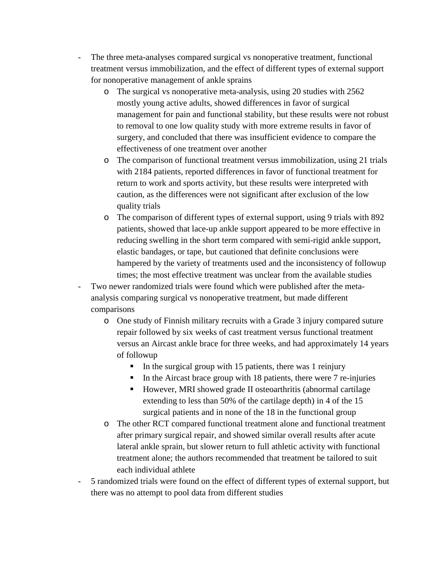- The three meta-analyses compared surgical vs nonoperative treatment, functional treatment versus immobilization, and the effect of different types of external support for nonoperative management of ankle sprains
	- o The surgical vs nonoperative meta-analysis, using 20 studies with 2562 mostly young active adults, showed differences in favor of surgical management for pain and functional stability, but these results were not robust to removal to one low quality study with more extreme results in favor of surgery, and concluded that there was insufficient evidence to compare the effectiveness of one treatment over another
	- o The comparison of functional treatment versus immobilization, using 21 trials with 2184 patients, reported differences in favor of functional treatment for return to work and sports activity, but these results were interpreted with caution, as the differences were not significant after exclusion of the low quality trials
	- o The comparison of different types of external support, using 9 trials with 892 patients, showed that lace-up ankle support appeared to be more effective in reducing swelling in the short term compared with semi-rigid ankle support, elastic bandages, or tape, but cautioned that definite conclusions were hampered by the variety of treatments used and the inconsistency of followup times; the most effective treatment was unclear from the available studies
- Two newer randomized trials were found which were published after the metaanalysis comparing surgical vs nonoperative treatment, but made different comparisons
	- o One study of Finnish military recruits with a Grade 3 injury compared suture repair followed by six weeks of cast treatment versus functional treatment versus an Aircast ankle brace for three weeks, and had approximately 14 years of followup
		- In the surgical group with 15 patients, there was 1 reinjury
		- In the Aircast brace group with 18 patients, there were  $7$  re-injuries
		- However, MRI showed grade II osteoarthritis (abnormal cartilage extending to less than 50% of the cartilage depth) in 4 of the 15 surgical patients and in none of the 18 in the functional group
	- o The other RCT compared functional treatment alone and functional treatment after primary surgical repair, and showed similar overall results after acute lateral ankle sprain, but slower return to full athletic activity with functional treatment alone; the authors recommended that treatment be tailored to suit each individual athlete
- 5 randomized trials were found on the effect of different types of external support, but there was no attempt to pool data from different studies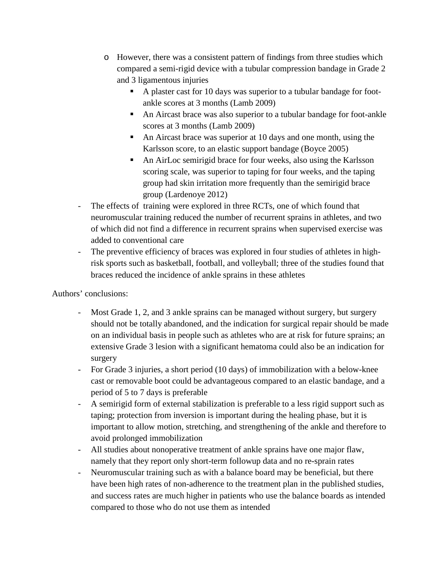- o However, there was a consistent pattern of findings from three studies which compared a semi-rigid device with a tubular compression bandage in Grade 2 and 3 ligamentous injuries
	- A plaster cast for 10 days was superior to a tubular bandage for footankle scores at 3 months (Lamb 2009)
	- An Aircast brace was also superior to a tubular bandage for foot-ankle scores at 3 months (Lamb 2009)
	- An Aircast brace was superior at 10 days and one month, using the Karlsson score, to an elastic support bandage (Boyce 2005)
	- An AirLoc semirigid brace for four weeks, also using the Karlsson scoring scale, was superior to taping for four weeks, and the taping group had skin irritation more frequently than the semirigid brace group (Lardenoye 2012)
- The effects of training were explored in three RCTs, one of which found that neuromuscular training reduced the number of recurrent sprains in athletes, and two of which did not find a difference in recurrent sprains when supervised exercise was added to conventional care
- The preventive efficiency of braces was explored in four studies of athletes in highrisk sports such as basketball, football, and volleyball; three of the studies found that braces reduced the incidence of ankle sprains in these athletes

Authors' conclusions:

- Most Grade 1, 2, and 3 ankle sprains can be managed without surgery, but surgery should not be totally abandoned, and the indication for surgical repair should be made on an individual basis in people such as athletes who are at risk for future sprains; an extensive Grade 3 lesion with a significant hematoma could also be an indication for surgery
- For Grade 3 injuries, a short period (10 days) of immobilization with a below-knee cast or removable boot could be advantageous compared to an elastic bandage, and a period of 5 to 7 days is preferable
- A semirigid form of external stabilization is preferable to a less rigid support such as taping; protection from inversion is important during the healing phase, but it is important to allow motion, stretching, and strengthening of the ankle and therefore to avoid prolonged immobilization
- All studies about nonoperative treatment of ankle sprains have one major flaw, namely that they report only short-term followup data and no re-sprain rates
- Neuromuscular training such as with a balance board may be beneficial, but there have been high rates of non-adherence to the treatment plan in the published studies, and success rates are much higher in patients who use the balance boards as intended compared to those who do not use them as intended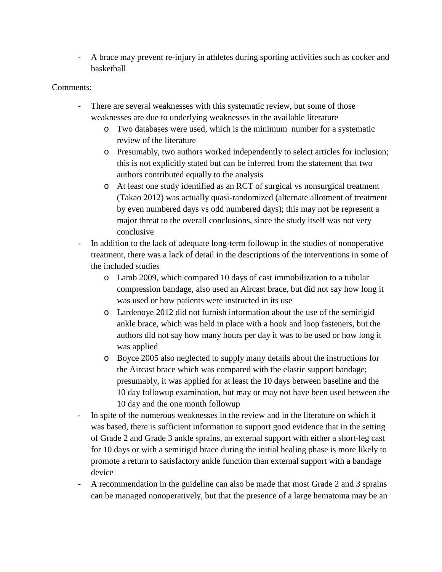- A brace may prevent re-injury in athletes during sporting activities such as cocker and basketball

## Comments:

- There are several weaknesses with this systematic review, but some of those weaknesses are due to underlying weaknesses in the available literature
	- o Two databases were used, which is the minimum number for a systematic review of the literature
	- o Presumably, two authors worked independently to select articles for inclusion; this is not explicitly stated but can be inferred from the statement that two authors contributed equally to the analysis
	- o At least one study identified as an RCT of surgical vs nonsurgical treatment (Takao 2012) was actually quasi-randomized (alternate allotment of treatment by even numbered days vs odd numbered days); this may not be represent a major threat to the overall conclusions, since the study itself was not very conclusive
- In addition to the lack of adequate long-term followup in the studies of nonoperative treatment, there was a lack of detail in the descriptions of the interventions in some of the included studies
	- o Lamb 2009, which compared 10 days of cast immobilization to a tubular compression bandage, also used an Aircast brace, but did not say how long it was used or how patients were instructed in its use
	- o Lardenoye 2012 did not furnish information about the use of the semirigid ankle brace, which was held in place with a hook and loop fasteners, but the authors did not say how many hours per day it was to be used or how long it was applied
	- o Boyce 2005 also neglected to supply many details about the instructions for the Aircast brace which was compared with the elastic support bandage; presumably, it was applied for at least the 10 days between baseline and the 10 day followup examination, but may or may not have been used between the 10 day and the one month followup
- In spite of the numerous weaknesses in the review and in the literature on which it was based, there is sufficient information to support good evidence that in the setting of Grade 2 and Grade 3 ankle sprains, an external support with either a short-leg cast for 10 days or with a semirigid brace during the initial healing phase is more likely to promote a return to satisfactory ankle function than external support with a bandage device
- A recommendation in the guideline can also be made that most Grade 2 and 3 sprains can be managed nonoperatively, but that the presence of a large hematoma may be an